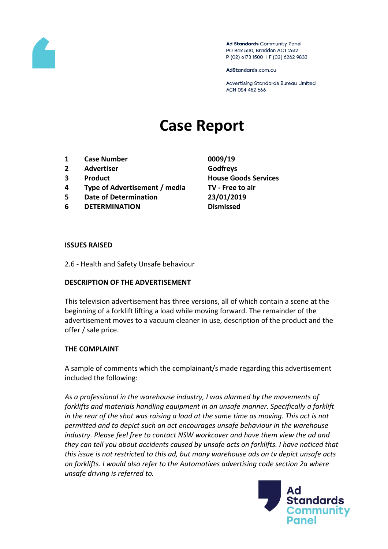

Ad Standards Community Panel PO Box 5110, Braddon ACT 2612 P (02) 6173 1500 | F (02) 6262 9833

AdStandards.com.au

Advertising Standards Bureau Limited ACN 084 452 666

# **Case Report**

- **1 Case Number 0009/19**
- **2 Advertiser Godfreys**
- 
- **4 Type of Advertisement / media TV - Free to air**
- **5 Date of Determination 23/01/2019**
- **6 DETERMINATION Dismissed**
- **3 Product House Goods Services**

#### **ISSUES RAISED**

2.6 - Health and Safety Unsafe behaviour

## **DESCRIPTION OF THE ADVERTISEMENT**

This television advertisement has three versions, all of which contain a scene at the beginning of a forklift lifting a load while moving forward. The remainder of the advertisement moves to a vacuum cleaner in use, description of the product and the offer / sale price.

## **THE COMPLAINT**

A sample of comments which the complainant/s made regarding this advertisement included the following:

*As a professional in the warehouse industry, I was alarmed by the movements of forklifts and materials handling equipment in an unsafe manner. Specifically a forklift*  in the rear of the shot was raising a load at the same time as moving. This act is not *permitted and to depict such an act encourages unsafe behaviour in the warehouse industry. Please feel free to contact NSW workcover and have them view the ad and they can tell you about accidents caused by unsafe acts on forklifts. I have noticed that this issue is not restricted to this ad, but many warehouse ads on tv depict unsafe acts on forklifts. I would also refer to the Automotives advertising code section 2a where unsafe driving is referred to.*

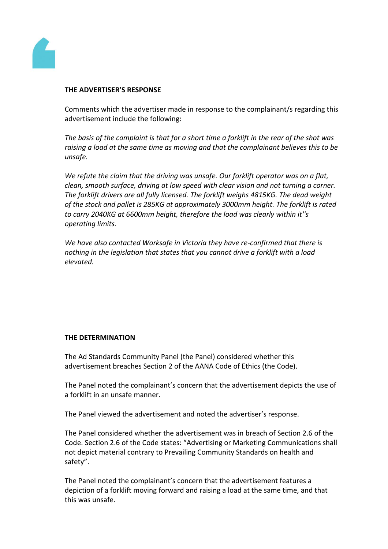

#### **THE ADVERTISER'S RESPONSE**

Comments which the advertiser made in response to the complainant/s regarding this advertisement include the following:

*The basis of the complaint is that for a short time a forklift in the rear of the shot was raising a load at the same time as moving and that the complainant believes this to be unsafe.*

*We refute the claim that the driving was unsafe. Our forklift operator was on a flat, clean, smooth surface, driving at low speed with clear vision and not turning a corner. The forklift drivers are all fully licensed. The forklift weighs 4815KG. The dead weight of the stock and pallet is 285KG at approximately 3000mm height. The forklift is rated to carry 2040KG at 6600mm height, therefore the load was clearly within it''s operating limits.*

*We have also contacted Worksafe in Victoria they have re-confirmed that there is nothing in the legislation that states that you cannot drive a forklift with a load elevated.*

## **THE DETERMINATION**

The Ad Standards Community Panel (the Panel) considered whether this advertisement breaches Section 2 of the AANA Code of Ethics (the Code).

The Panel noted the complainant's concern that the advertisement depicts the use of a forklift in an unsafe manner.

The Panel viewed the advertisement and noted the advertiser's response.

The Panel considered whether the advertisement was in breach of Section 2.6 of the Code. Section 2.6 of the Code states: "Advertising or Marketing Communications shall not depict material contrary to Prevailing Community Standards on health and safety".

The Panel noted the complainant's concern that the advertisement features a depiction of a forklift moving forward and raising a load at the same time, and that this was unsafe.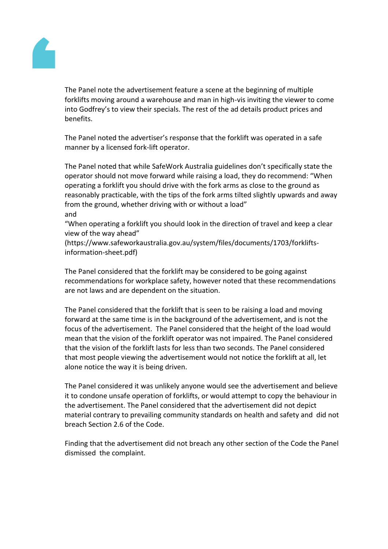

The Panel note the advertisement feature a scene at the beginning of multiple forklifts moving around a warehouse and man in high-vis inviting the viewer to come into Godfrey's to view their specials. The rest of the ad details product prices and benefits.

The Panel noted the advertiser's response that the forklift was operated in a safe manner by a licensed fork-lift operator.

The Panel noted that while SafeWork Australia guidelines don't specifically state the operator should not move forward while raising a load, they do recommend: "When operating a forklift you should drive with the fork arms as close to the ground as reasonably practicable, with the tips of the fork arms tilted slightly upwards and away from the ground, whether driving with or without a load" and

"When operating a forklift you should look in the direction of travel and keep a clear view of the way ahead"

(https://www.safeworkaustralia.gov.au/system/files/documents/1703/forkliftsinformation-sheet.pdf)

The Panel considered that the forklift may be considered to be going against recommendations for workplace safety, however noted that these recommendations are not laws and are dependent on the situation.

The Panel considered that the forklift that is seen to be raising a load and moving forward at the same time is in the background of the advertisement, and is not the focus of the advertisement. The Panel considered that the height of the load would mean that the vision of the forklift operator was not impaired. The Panel considered that the vision of the forklift lasts for less than two seconds. The Panel considered that most people viewing the advertisement would not notice the forklift at all, let alone notice the way it is being driven.

The Panel considered it was unlikely anyone would see the advertisement and believe it to condone unsafe operation of forklifts, or would attempt to copy the behaviour in the advertisement. The Panel considered that the advertisement did not depict material contrary to prevailing community standards on health and safety and did not breach Section 2.6 of the Code.

Finding that the advertisement did not breach any other section of the Code the Panel dismissed the complaint.